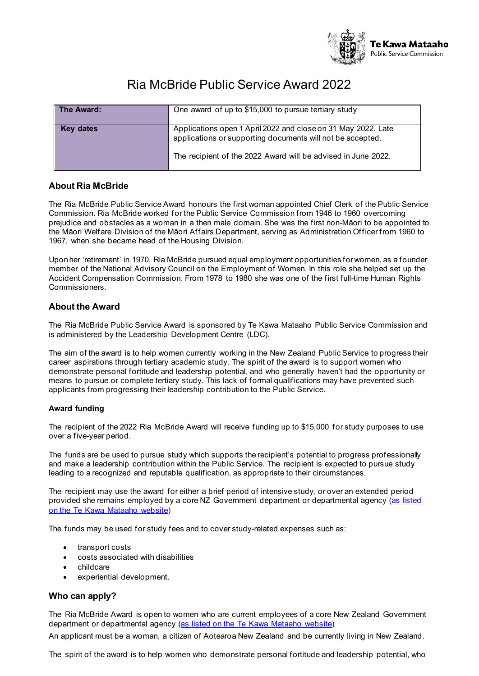

# Ria McBride Public Service Award 2022

| The Award: | One award of up to \$15,000 to pursue tertiary study                                                                                                                                         |
|------------|----------------------------------------------------------------------------------------------------------------------------------------------------------------------------------------------|
| Key dates  | Applications open 1 April 2022 and close on 31 May 2022. Late<br>applications or supporting documents will not be accepted.<br>The recipient of the 2022 Award will be advised in June 2022. |

## **About Ria McBride**

The Ria McBride Public Service Award honours the first woman appointed Chief Clerk of the Public Service Commission. Ria McBride worked for the Public Service Commission from 1946 to 1960 overcoming prejudice and obstacles as a woman in a then male domain. She was the first non-Māori to be appointed to the Māori Welfare Division of the Māori Affairs Department, serving as Administration Officer from 1960 to 1967, when she became head of the Housing Division.

Uponher 'retirement' in 1970, Ria McBride pursued equal employment opportunities forwomen, as a founder member of the National Advisory Council on the Employment of Women. In this role she helped set up the Accident Compensation Commission. From 1978 to 1980 she was one of the first full-time Human Rights Commissioners.

## **About the Award**

The Ria McBride Public Service Award is sponsored by Te Kawa Mataaho Public Service Commission and is administered by the Leadership Development Centre (LDC).

The aim of the award is to help women currently working in the New Zealand Public Service to progress their career aspirations through tertiary academic study. The spirit of the award is to support women who demonstrate personal fortitude and leadership potential, and who generally haven't had the opportunity or means to pursue or complete tertiary study. This lack of formal qualifications may have prevented such applicants from progressing their leadership contribution to the Public Service.

#### **Award funding**

The recipient of the 2022 Ria McBride Award will receive funding up to \$15,000 for study purposes to use over a five-year period.

The funds are be used to pursue study which supports the recipient's potential to progress professionally and make a leadership contribution within the Public Service. The recipient is expected to pursue study leading to a recognized and reputable qualification, as appropriate to their circumstances.

The recipient may use the award for either a brief period of intensive study, or over an extended period provided she remains employed by a core NZ Government department or departmental agency [\(as listed](https://www.publicservice.govt.nz/our-work/state-sector-organisations/) on the Te Kawa [Mataaho](https://www.publicservice.govt.nz/our-work/state-sector-organisations/) website)

The funds may be used for study fees and to cover study-related expenses such as:

- transport costs
- costs associated with disabilities
- childcare
- experiential development.

## **Who can apply?**

The Ria McBride Award is open to women who are current employees of a core New Zealand Government department or departmental agency (as listed on the Te Kawa [Mataaho website](https://www.publicservice.govt.nz/our-work/state-sector-organisations/))

An applicant must be a woman, a citizen of Aotearoa New Zealand and be currently living in New Zealand.

The spirit of the award is to help women who demonstrate personal fortitude and leadership potential, who